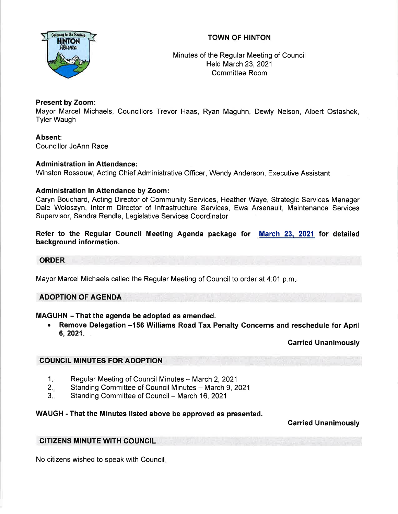# TOWN OF HINTON



Minutes of the Regular Meeting of Council Held March 23,2021 Committee Room

# Present by Zoom:

Mayor Marcel Michaels, Councillors Trevor Haas, Ryan Maguhn, Dewly Nelson, Albert Ostashek, Tyler Waugh

Absent: Councillor JoAnn Race

# Administration in Attendance:

Winston Rossouw, Acting Chief Administrative Officer, Wendy Anderson, Executive Assistant

# Administration in Attendance by Zoom:

Caryn Bouchard, Acting Director of Community Services, Heather Waye, Strategic Services Manager Dale Woloszyn, lnterim Director of lnfrastructure Services, Ewa Arsenault, Maintenance Services Supervisor, Sandra Rendle, Legislative Services Coordinator

Refer to the Regular Council Meeting Agenda package for <u>March 23, 2021</u> for detailec background information.

## **ORDER**

Mayor Marcel Michaels called the Regular Meeting of Council to order at 4:01 p.m

# ADOPTION OF AGENDA

# MAGUHN - That the agenda be adopted as amended.

Remove Delegation -156 Williams Road Tax Penalty Concerns and reschedule for April 6,2021.

Carried Unanimously

# COUNCIL MINUTES FOR ADOPTION

- Regular Meeting of Council Minutes March 2, 2021 1.
- Standing Committee of Council Minutes March 9, 2021 2.
- Standing Committee of Council March 16, 2021 3.

## WAUGH - That the Minutes listed above be approved as presented.

Carried Unanimously

## CITIZENS MINUTE WITH COUNGIL

No citizens wished to speak with Council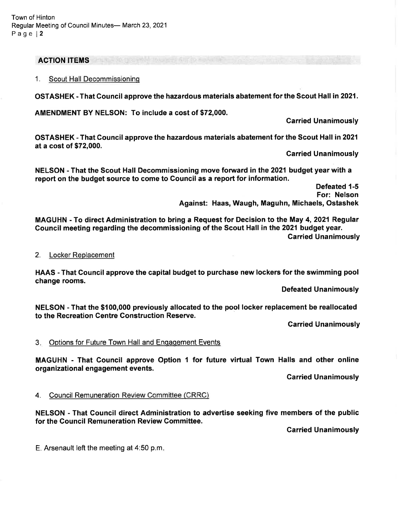#### **ACTION ITEMS**

1. Scout Hall Decommissioninq

OSTASHEK - That Council approve the hazardous materials abatement for the Scout Hall in 2021.

AMENDMENT BY NELSON: To include a cost of \$72,000.

Carried Unanimously

OSTASHEK - That Council approve the hazardous materials abatement for the Scout Hall in 2021 at a cost of \$72,000.

Carried Unanimously

NELSON - That the Scout Hall Decommissioning move forward in the 2021 budget year with a report on the budget source to come to Council as a report for information.

> Defeated 1-5 For: Nelson Against: Haas, Waugh, Maguhn, Michaels, Ostashek

MAGUHN - To direct Administration to bring a Request for Decision to the May 4, 2021 Regular Gouncil meeting regarding the decommissioning of the Scout Hall in the 2021 budget year. Carried Unanimously

#### 2. Locker Replacement

HAAS - That Council approve the capital budget to purchase new lockers for the swimming pool change rooms.

Defeated Unanimously

NELSON - That the \$100,000 previously allocated to the pool locker replacement be reallocated to the Recreation Gentre Gonstruction Reserve.

Garried Unanimously

#### 3. Options for Future Town Hall and Engagement Events

MAGUHN - That Council approve Option 1 for future virtual Town Halls and other online organizational engagement events.

Carried Unanimously

4. Council Remuneration Review Committee (CRRC)

NELSON - That Gouncil direct Administration to advertise seeking five members of the public for the Gouncil Remuneration Review Committee.

Garried Unanimously

E. Arsenault left the meeting at 4:50 p.m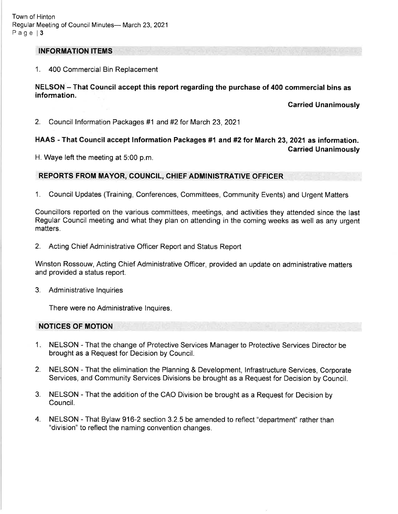#### INFORMATION ITEMS

## 1. <sup>400</sup>Commercial Bin Replacement

## NELSON - That Council accept this report regarding the purchase of 400 commercial bins as information.

Carried Unanimously

2. Council lnformation Packages #1 and#2for March 23,2021

# HAA\$ - That Courncil accept lnformation Packages #1 and #2 for March 23,2021 as information.

Garried Unanimously

H. Waye left the meeting at 5:00 p.m.

# REPORTS FROM MAYOR, COUNCIL, CHIEF ADMINISTRATIVE OFFICER

1. Council Updates (Training, Conferences, Committees, Community Events) and Urgent Matters

Councillors reported on the various committees, meetings, and activities they attended since the last Regular Council meeting and what they plan on attending in the coming weeks as well as any urgent matters.

2. Acting Chief Administrative Officer Report and Status Report

Winston Rossouw, Acting Chief Administrative Officer, provided an update on administrative matters and provided a status report.

3. Administrative lnquiries

There were no Administrative lnquires

## NOTICES OF MOTION

- 1. NELSON That the change of Protective Services Manager to Protective Services Director be brought as a Request for Decision by Council.
- 2. NELSON That the elimination the Planning & Development, lnfrastructure Services, Corporate Services, and Community Services Divisions be brought as a Request for Decision by Council.
- 3. NELSON That the addition of the CAO Division be brought as a Request for Decision by Council.
- 4. NELSON That Bylaw 916-2 section 3.2.5 be amended to reflect "department" rather than "division" to reflect the naming convention changes.